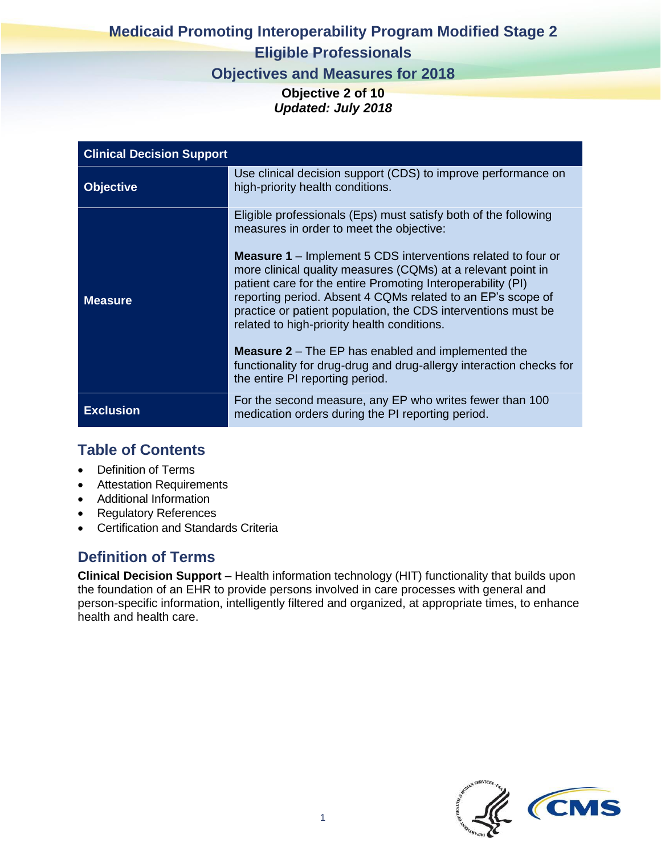# **Medicaid Promoting Interoperability Program Modified Stage 2 Eligible Professionals**

### **Objectives and Measures for 2018**

**Objective 2 of 10** *Updated: July 2018*

| <b>Clinical Decision Support</b> |                                                                                                                                                                                                                                                                                                                                                                                   |
|----------------------------------|-----------------------------------------------------------------------------------------------------------------------------------------------------------------------------------------------------------------------------------------------------------------------------------------------------------------------------------------------------------------------------------|
| <b>Objective</b>                 | Use clinical decision support (CDS) to improve performance on<br>high-priority health conditions.                                                                                                                                                                                                                                                                                 |
|                                  | Eligible professionals (Eps) must satisfy both of the following<br>measures in order to meet the objective:                                                                                                                                                                                                                                                                       |
| <b>Measure</b>                   | <b>Measure 1</b> – Implement 5 CDS interventions related to four or<br>more clinical quality measures (CQMs) at a relevant point in<br>patient care for the entire Promoting Interoperability (PI)<br>reporting period. Absent 4 CQMs related to an EP's scope of<br>practice or patient population, the CDS interventions must be<br>related to high-priority health conditions. |
|                                  | <b>Measure 2</b> – The EP has enabled and implemented the<br>functionality for drug-drug and drug-allergy interaction checks for<br>the entire PI reporting period.                                                                                                                                                                                                               |
| <b>Exclusion</b>                 | For the second measure, any EP who writes fewer than 100<br>medication orders during the PI reporting period.                                                                                                                                                                                                                                                                     |

### **Table of Contents**

- Definition of Terms
- Attestation Requirements
- Additional Information
- Regulatory References
- Certification and Standards Criteria

## **Definition of Terms**

**Clinical Decision Support** – Health information technology (HIT) functionality that builds upon the foundation of an EHR to provide persons involved in care processes with general and person-specific information, intelligently filtered and organized, at appropriate times, to enhance health and health care.

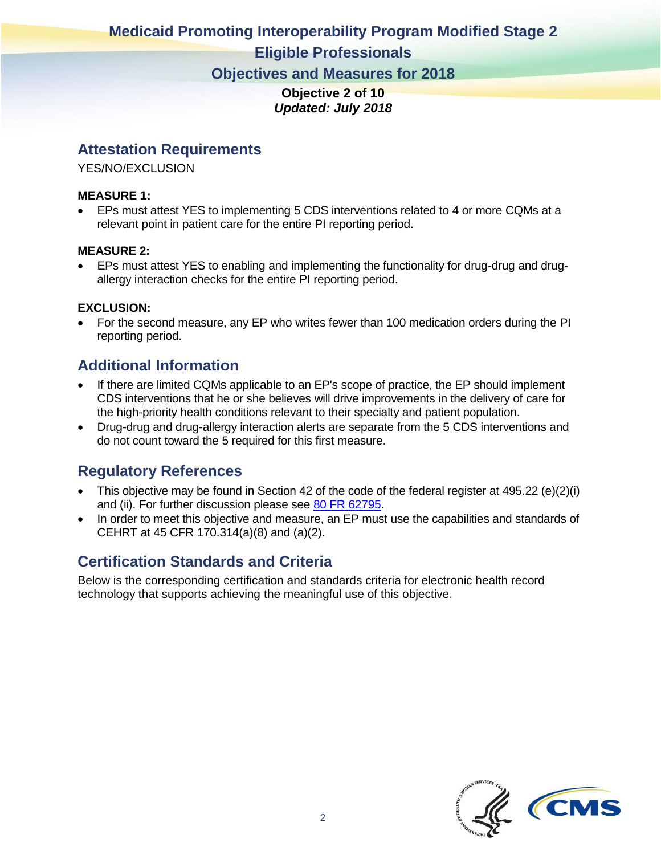# **Medicaid Promoting Interoperability Program Modified Stage 2**

#### **Eligible Professionals**

**Objectives and Measures for 2018**

**Objective 2 of 10** *Updated: July 2018*

#### **Attestation Requirements**

YES/NO/EXCLUSION

#### **MEASURE 1:**

• EPs must attest YES to implementing 5 CDS interventions related to 4 or more CQMs at a relevant point in patient care for the entire PI reporting period.

#### **MEASURE 2:**

• EPs must attest YES to enabling and implementing the functionality for drug-drug and drugallergy interaction checks for the entire PI reporting period.

#### **EXCLUSION:**

• For the second measure, any EP who writes fewer than 100 medication orders during the PI reporting period.

### **Additional Information**

- If there are limited CQMs applicable to an EP's scope of practice, the EP should implement CDS interventions that he or she believes will drive improvements in the delivery of care for the high-priority health conditions relevant to their specialty and patient population.
- Drug-drug and drug-allergy interaction alerts are separate from the 5 CDS interventions and do not count toward the 5 required for this first measure.

#### **Regulatory References**

- This objective may be found in Section 42 of the code of the federal register at 495.22 (e)(2)(i) and (ii). For further discussion please see [80 FR 62795.](https://www.federalregister.gov/articles/2015/10/16/2015-25595/medicare-and-medicaid-programs-electronic-health-record-incentive-program-stage-3-and-modifications#h-64)
- In order to meet this objective and measure, an EP must use the capabilities and standards of CEHRT at 45 CFR 170.314(a)(8) and (a)(2).

### **Certification Standards and Criteria**

Below is the corresponding certification and standards criteria for electronic health record technology that supports achieving the meaningful use of this objective.

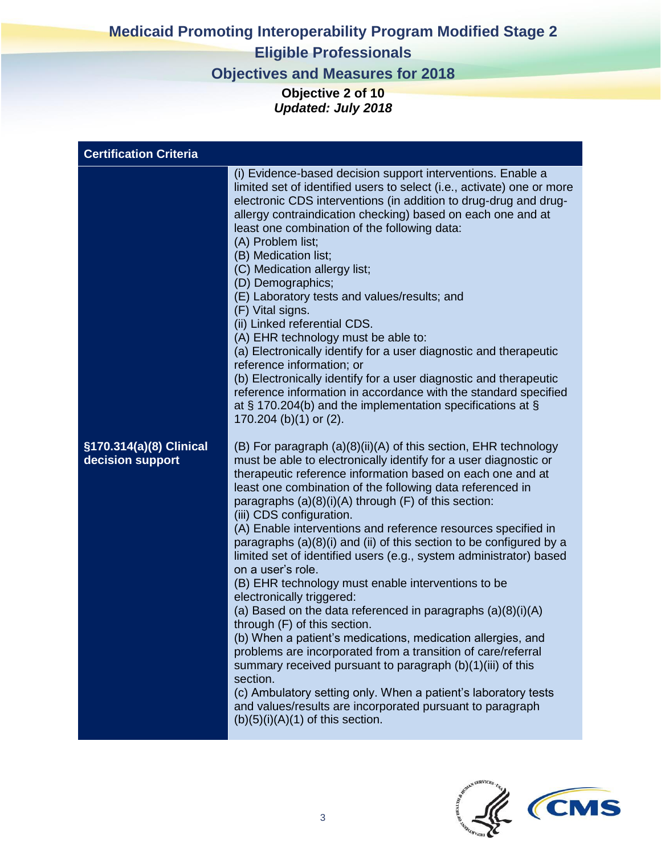# **Medicaid Promoting Interoperability Program Modified Stage 2**

## **Eligible Professionals**

**Objectives and Measures for 2018**

**Objective 2 of 10** *Updated: July 2018*

| <b>Certification Criteria</b>               |                                                                                                                                                                                                                                                                                                                                                                                                                                                                                                                                                                                                                                                                                                                                                                                                                                                                                                                                                                                                                                                                                                                                                         |  |
|---------------------------------------------|---------------------------------------------------------------------------------------------------------------------------------------------------------------------------------------------------------------------------------------------------------------------------------------------------------------------------------------------------------------------------------------------------------------------------------------------------------------------------------------------------------------------------------------------------------------------------------------------------------------------------------------------------------------------------------------------------------------------------------------------------------------------------------------------------------------------------------------------------------------------------------------------------------------------------------------------------------------------------------------------------------------------------------------------------------------------------------------------------------------------------------------------------------|--|
|                                             | (i) Evidence-based decision support interventions. Enable a<br>limited set of identified users to select (i.e., activate) one or more<br>electronic CDS interventions (in addition to drug-drug and drug-<br>allergy contraindication checking) based on each one and at<br>least one combination of the following data:<br>(A) Problem list;<br>(B) Medication list;<br>(C) Medication allergy list;<br>(D) Demographics;<br>(E) Laboratory tests and values/results; and<br>(F) Vital signs.<br>(ii) Linked referential CDS.<br>(A) EHR technology must be able to:<br>(a) Electronically identify for a user diagnostic and therapeutic<br>reference information; or<br>(b) Electronically identify for a user diagnostic and therapeutic<br>reference information in accordance with the standard specified<br>at $\S$ 170.204(b) and the implementation specifications at $\S$<br>170.204 (b)(1) or (2).                                                                                                                                                                                                                                           |  |
| §170.314(a)(8) Clinical<br>decision support | (B) For paragraph (a)(8)(ii)(A) of this section, EHR technology<br>must be able to electronically identify for a user diagnostic or<br>therapeutic reference information based on each one and at<br>least one combination of the following data referenced in<br>paragraphs (a)(8)(i)(A) through (F) of this section:<br>(iii) CDS configuration.<br>(A) Enable interventions and reference resources specified in<br>paragraphs (a)(8)(i) and (ii) of this section to be configured by a<br>limited set of identified users (e.g., system administrator) based<br>on a user's role.<br>(B) EHR technology must enable interventions to be<br>electronically triggered:<br>(a) Based on the data referenced in paragraphs $(a)(8)(i)(A)$<br>through (F) of this section.<br>(b) When a patient's medications, medication allergies, and<br>problems are incorporated from a transition of care/referral<br>summary received pursuant to paragraph (b)(1)(iii) of this<br>section.<br>(c) Ambulatory setting only. When a patient's laboratory tests<br>and values/results are incorporated pursuant to paragraph<br>$(b)(5)(i)(A)(1)$ of this section. |  |

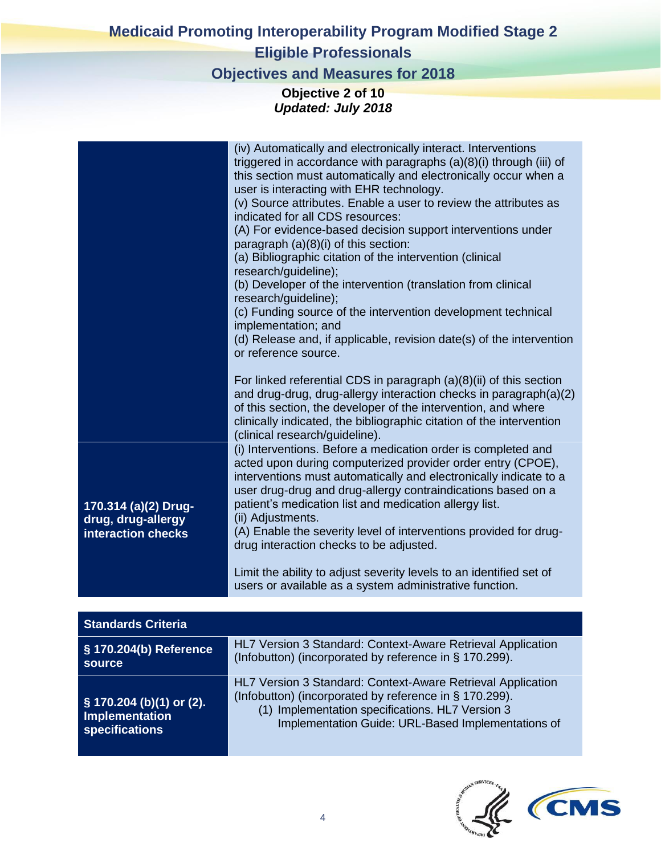## **Medicaid Promoting Interoperability Program Modified Stage 2 Eligible Professionals**

## **Objectives and Measures for 2018**

#### **Objective 2 of 10** *Updated: July 2018*

| 170.314 (a)(2) Drug-<br>drug, drug-allergy<br>interaction checks    | (iv) Automatically and electronically interact. Interventions<br>triggered in accordance with paragraphs (a)(8)(i) through (iii) of<br>this section must automatically and electronically occur when a<br>user is interacting with EHR technology.<br>(v) Source attributes. Enable a user to review the attributes as<br>indicated for all CDS resources:<br>(A) For evidence-based decision support interventions under<br>paragraph (a)(8)(i) of this section:<br>(a) Bibliographic citation of the intervention (clinical<br>research/guideline);<br>(b) Developer of the intervention (translation from clinical<br>research/guideline);<br>(c) Funding source of the intervention development technical<br>implementation; and<br>(d) Release and, if applicable, revision date(s) of the intervention<br>or reference source.<br>For linked referential CDS in paragraph $(a)(8)(ii)$ of this section<br>and drug-drug, drug-allergy interaction checks in paragraph(a)(2)<br>of this section, the developer of the intervention, and where<br>clinically indicated, the bibliographic citation of the intervention<br>(clinical research/guideline).<br>(i) Interventions. Before a medication order is completed and<br>acted upon during computerized provider order entry (CPOE),<br>interventions must automatically and electronically indicate to a<br>user drug-drug and drug-allergy contraindications based on a<br>patient's medication list and medication allergy list.<br>(ii) Adjustments.<br>(A) Enable the severity level of interventions provided for drug-<br>drug interaction checks to be adjusted.<br>Limit the ability to adjust severity levels to an identified set of |
|---------------------------------------------------------------------|---------------------------------------------------------------------------------------------------------------------------------------------------------------------------------------------------------------------------------------------------------------------------------------------------------------------------------------------------------------------------------------------------------------------------------------------------------------------------------------------------------------------------------------------------------------------------------------------------------------------------------------------------------------------------------------------------------------------------------------------------------------------------------------------------------------------------------------------------------------------------------------------------------------------------------------------------------------------------------------------------------------------------------------------------------------------------------------------------------------------------------------------------------------------------------------------------------------------------------------------------------------------------------------------------------------------------------------------------------------------------------------------------------------------------------------------------------------------------------------------------------------------------------------------------------------------------------------------------------------------------------------------------------------------------------------------------------|
|                                                                     | users or available as a system administrative function.                                                                                                                                                                                                                                                                                                                                                                                                                                                                                                                                                                                                                                                                                                                                                                                                                                                                                                                                                                                                                                                                                                                                                                                                                                                                                                                                                                                                                                                                                                                                                                                                                                                 |
| <b>Standards Criteria</b>                                           |                                                                                                                                                                                                                                                                                                                                                                                                                                                                                                                                                                                                                                                                                                                                                                                                                                                                                                                                                                                                                                                                                                                                                                                                                                                                                                                                                                                                                                                                                                                                                                                                                                                                                                         |
| § 170.204(b) Reference<br>source                                    | HL7 Version 3 Standard: Context-Aware Retrieval Application<br>(Infobutton) (incorporated by reference in § 170.299).                                                                                                                                                                                                                                                                                                                                                                                                                                                                                                                                                                                                                                                                                                                                                                                                                                                                                                                                                                                                                                                                                                                                                                                                                                                                                                                                                                                                                                                                                                                                                                                   |
| § 170.204 (b)(1) or (2).<br><b>Implementation</b><br>specifications | HL7 Version 3 Standard: Context-Aware Retrieval Application<br>(Infobutton) (incorporated by reference in § 170.299).<br>(1) Implementation specifications. HL7 Version 3<br>Implementation Guide: URL-Based Implementations of                                                                                                                                                                                                                                                                                                                                                                                                                                                                                                                                                                                                                                                                                                                                                                                                                                                                                                                                                                                                                                                                                                                                                                                                                                                                                                                                                                                                                                                                         |